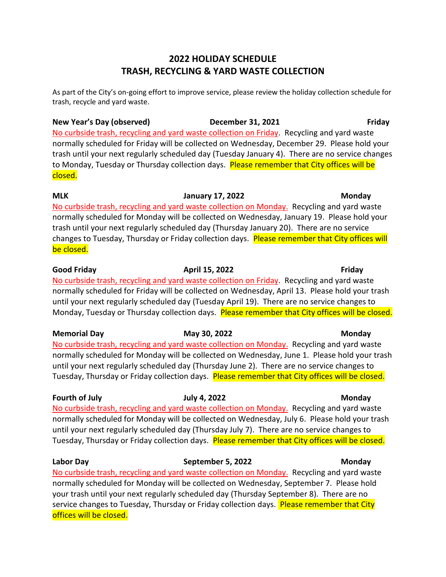## **2022 HOLIDAY SCHEDULE TRASH, RECYCLING & YARD WASTE COLLECTION**

As part of the City's on-going effort to improve service, please review the holiday collection schedule for trash, recycle and yard waste.

**New Year's Day (observed) December 31, 2021 Friday** No curbside trash, recycling and yard waste collection on Friday. Recycling and yard waste normally scheduled for Friday will be collected on Wednesday, December 29. Please hold your trash until your next regularly scheduled day (Tuesday January 4). There are no service changes to Monday, Tuesday or Thursday collection days. Please remember that City offices will be closed.

**MLK January 17, 2022 Monday** No curbside trash, recycling and yard waste collection on Monday. Recycling and yard waste normally scheduled for Monday will be collected on Wednesday, January 19. Please hold your trash until your next regularly scheduled day (Thursday January 20). There are no service changes to Tuesday, Thursday or Friday collection days. Please remember that City offices will be closed.

**Good Friday April 15, 2022 Friday** No curbside trash, recycling and yard waste collection on Friday. Recycling and yard waste normally scheduled for Friday will be collected on Wednesday, April 13. Please hold your trash until your next regularly scheduled day (Tuesday April 19). There are no service changes to Monday, Tuesday or Thursday collection days. Please remember that City offices will be closed.

**Memorial Day May 30, 2022 Monday** No curbside trash, recycling and yard waste collection on Monday. Recycling and yard waste normally scheduled for Monday will be collected on Wednesday, June 1. Please hold your trash until your next regularly scheduled day (Thursday June 2). There are no service changes to Tuesday, Thursday or Friday collection days. Please remember that City offices will be closed.

# **Fourth of July July 4, 2022 Monday**

No curbside trash, recycling and yard waste collection on Monday. Recycling and yard waste normally scheduled for Monday will be collected on Wednesday, July 6. Please hold your trash until your next regularly scheduled day (Thursday July 7). There are no service changes to Tuesday, Thursday or Friday collection days. Please remember that City offices will be closed.

**Labor Day September 5, 2022 Monday** No curbside trash, recycling and yard waste collection on Monday. Recycling and yard waste normally scheduled for Monday will be collected on Wednesday, September 7. Please hold your trash until your next regularly scheduled day (Thursday September 8). There are no service changes to Tuesday, Thursday or Friday collection days. Please remember that City offices will be closed.